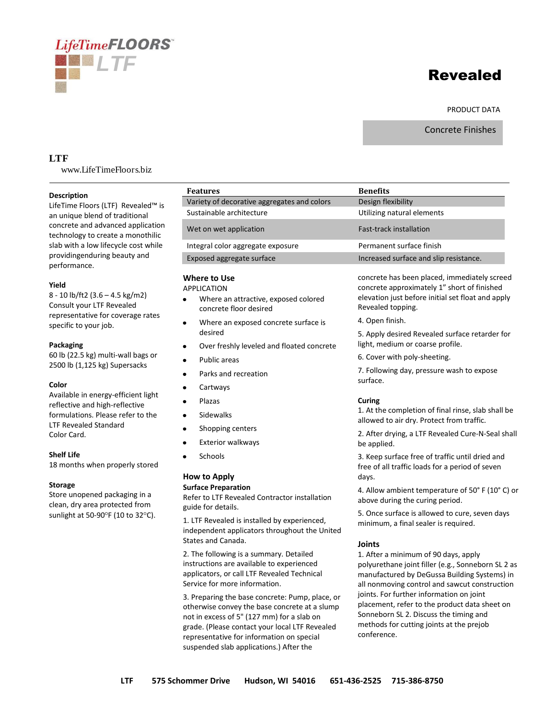# Revealed

#### PRODUCT DATA

Concrete Finishes

# **LTF**

www.LifeTimeFloors.biz

*LTF*

LifeTimeFLOORS

#### **Description**

LifeTime Floors (LTF) Revealed™ is an unique blend of traditional concrete and advanced application technology to create a monothilic slab with a low lifecycle cost while providingenduring beauty and performance.

## **Yield**

8 - 10 lb/ft2 (3.6 – 4.5 kg/m2) Consult your LTF Revealed representative for coverage rates specific to your job.

#### **Packaging**

60 lb (22.5 kg) multi-wall bags or 2500 lb (1,125 kg) Supersacks

#### **Color**

Available in energy-efficient light reflective and high-reflective formulations. Please refer to the LTF Revealed Standard Color Card.

#### **Shelf Life**

18 months when properly stored

#### **Storage**

Store unopened packaging in a clean, dry area protected from sunlight at 50-90 $\degree$ F (10 to 32 $\degree$ C).

| <b>Features</b>                                                                                                     | <b>Benefits</b>                                                                                                                                                       |
|---------------------------------------------------------------------------------------------------------------------|-----------------------------------------------------------------------------------------------------------------------------------------------------------------------|
| Variety of decorative aggregates and colors                                                                         | Design flexibility                                                                                                                                                    |
| Sustainable architecture                                                                                            | Utilizing natural elements                                                                                                                                            |
| Wet on wet application                                                                                              | <b>Fast-track installation</b>                                                                                                                                        |
| Integral color aggregate exposure                                                                                   | Permanent surface finish                                                                                                                                              |
| Exposed aggregate surface                                                                                           | Increased surface and slip resistance.                                                                                                                                |
| <b>Where to Use</b><br><b>APPLICATION</b><br>Where an attractive, exposed colored<br>٠<br>concrete floor desired    | concrete has been placed, immediately screed<br>concrete approximately 1" short of finished<br>elevation just before initial set float and apply<br>Revealed topping. |
| Where an exposed concrete surface is<br>$\bullet$                                                                   | 4. Open finish.                                                                                                                                                       |
| desired                                                                                                             | 5. Apply desired Revealed surface retarder for                                                                                                                        |
| Over freshly leveled and floated concrete<br>$\bullet$                                                              | light, medium or coarse profile.                                                                                                                                      |
| Public areas<br>٠                                                                                                   | 6. Cover with poly-sheeting.                                                                                                                                          |
| Parks and recreation<br>٠                                                                                           | 7. Following day, pressure wash to expose<br>surface.                                                                                                                 |
| Cartways<br>٠                                                                                                       |                                                                                                                                                                       |
| Plazas<br>٠                                                                                                         | Curing                                                                                                                                                                |
| Sidewalks<br>$\bullet$                                                                                              | 1. At the completion of final rinse, slab shall be<br>allowed to air dry. Protect from traffic.<br>2. After drying, a LTF Revealed Cure-N-Seal shall<br>be applied.   |
| Shopping centers<br>٠                                                                                               |                                                                                                                                                                       |
| <b>Exterior walkways</b><br>٠                                                                                       |                                                                                                                                                                       |
| Schools<br>$\bullet$                                                                                                | 3. Keep surface free of traffic until dried and<br>free of all traffic loads for a period of seven                                                                    |
| <b>How to Apply</b>                                                                                                 | days.                                                                                                                                                                 |
| <b>Surface Preparation</b><br>Refer to LTF Revealed Contractor installation<br>guide for details.                   | 4. Allow ambient temperature of 50° F (10° C) or<br>above during the curing period.                                                                                   |
| 1. LTF Revealed is installed by experienced,<br>independent applicators throughout the United<br>States and Canada. | 5. Once surface is allowed to cure, seven days<br>minimum, a final sealer is required.                                                                                |
| $\Delta$ , which if all acceptance for a recover<br>and Contact and                                                 | <b>Joints</b>                                                                                                                                                         |

2. The following is a summary. Detailed instructions are available to experienced applicators, or call LTF Revealed Technical Service for more information.

3. Preparing the base concrete: Pump, place, or otherwise convey the base concrete at a slump not in excess of 5" (127 mm) for a slab on grade. (Please contact your local LTF Revealed representative for information on special suspended slab applications.) After the

1. After a minimum of 90 days, apply polyurethane joint filler (e.g., Sonneborn SL 2 as manufactured by DeGussa Building Systems) in all nonmoving control and sawcut construction joints. For further information on joint placement, refer to the product data sheet on Sonneborn SL 2. Discuss the timing and methods for cutting joints at the prejob conference.